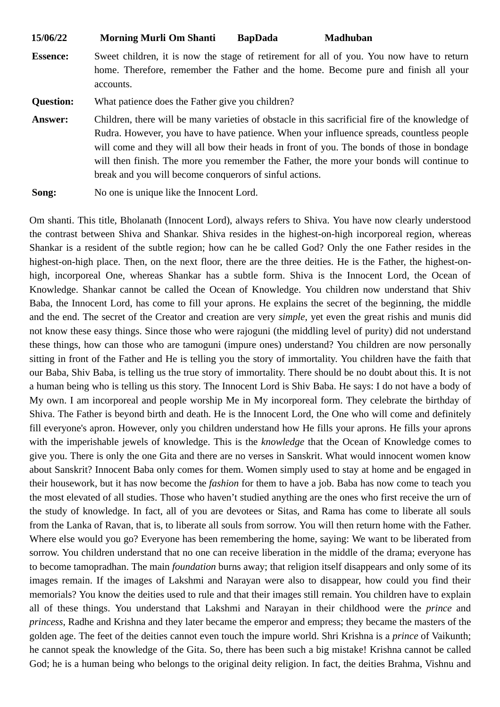**15/06/22 Morning Murli Om Shanti BapDada Madhuban**

**Essence:** Sweet children, it is now the stage of retirement for all of you. You now have to return home. Therefore, remember the Father and the home. Become pure and finish all your accounts.

**Question:** What patience does the Father give you children?

**Answer:** Children, there will be many varieties of obstacle in this sacrificial fire of the knowledge of Rudra. However, you have to have patience. When your influence spreads, countless people will come and they will all bow their heads in front of you. The bonds of those in bondage will then finish. The more you remember the Father, the more your bonds will continue to break and you will become conquerors of sinful actions.

**Song:** No one is unique like the Innocent Lord.

Om shanti. This title, Bholanath (Innocent Lord), always refers to Shiva. You have now clearly understood the contrast between Shiva and Shankar. Shiva resides in the highest-on-high incorporeal region, whereas Shankar is a resident of the subtle region; how can he be called God? Only the one Father resides in the highest-on-high place. Then, on the next floor, there are the three deities. He is the Father, the highest-onhigh, incorporeal One, whereas Shankar has a subtle form. Shiva is the Innocent Lord, the Ocean of Knowledge. Shankar cannot be called the Ocean of Knowledge. You children now understand that Shiv Baba, the Innocent Lord, has come to fill your aprons. He explains the secret of the beginning, the middle and the end. The secret of the Creator and creation are very *simple*, yet even the great rishis and munis did not know these easy things. Since those who were rajoguni (the middling level of purity) did not understand these things, how can those who are tamoguni (impure ones) understand? You children are now personally sitting in front of the Father and He is telling you the story of immortality. You children have the faith that our Baba, Shiv Baba, is telling us the true story of immortality. There should be no doubt about this. It is not a human being who is telling us this story. The Innocent Lord is Shiv Baba. He says: I do not have a body of My own. I am incorporeal and people worship Me in My incorporeal form. They celebrate the birthday of Shiva. The Father is beyond birth and death. He is the Innocent Lord, the One who will come and definitely fill everyone's apron. However, only you children understand how He fills your aprons. He fills your aprons with the imperishable jewels of knowledge. This is the *knowledge* that the Ocean of Knowledge comes to give you. There is only the one Gita and there are no verses in Sanskrit. What would innocent women know about Sanskrit? Innocent Baba only comes for them. Women simply used to stay at home and be engaged in their housework, but it has now become the *fashion* for them to have a job. Baba has now come to teach you the most elevated of all studies. Those who haven't studied anything are the ones who first receive the urn of the study of knowledge. In fact, all of you are devotees or Sitas, and Rama has come to liberate all souls from the Lanka of Ravan, that is, to liberate all souls from sorrow. You will then return home with the Father. Where else would you go? Everyone has been remembering the home, saying: We want to be liberated from sorrow. You children understand that no one can receive liberation in the middle of the drama; everyone has to become tamopradhan. The main *foundation* burns away; that religion itself disappears and only some of its images remain. If the images of Lakshmi and Narayan were also to disappear, how could you find their memorials? You know the deities used to rule and that their images still remain. You children have to explain all of these things. You understand that Lakshmi and Narayan in their childhood were the *prince* and *princess*, Radhe and Krishna and they later became the emperor and empress; they became the masters of the golden age. The feet of the deities cannot even touch the impure world. Shri Krishna is a *prince* of Vaikunth; he cannot speak the knowledge of the Gita. So, there has been such a big mistake! Krishna cannot be called God; he is a human being who belongs to the original deity religion. In fact, the deities Brahma, Vishnu and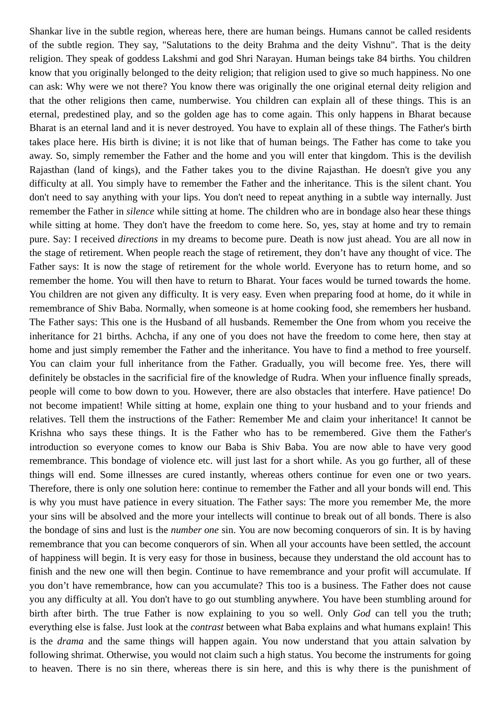Shankar live in the subtle region, whereas here, there are human beings. Humans cannot be called residents of the subtle region. They say, "Salutations to the deity Brahma and the deity Vishnu". That is the deity religion. They speak of goddess Lakshmi and god Shri Narayan. Human beings take 84 births. You children know that you originally belonged to the deity religion; that religion used to give so much happiness. No one can ask: Why were we not there? You know there was originally the one original eternal deity religion and that the other religions then came, numberwise. You children can explain all of these things. This is an eternal, predestined play, and so the golden age has to come again. This only happens in Bharat because Bharat is an eternal land and it is never destroyed. You have to explain all of these things. The Father's birth takes place here. His birth is divine; it is not like that of human beings. The Father has come to take you away. So, simply remember the Father and the home and you will enter that kingdom. This is the devilish Rajasthan (land of kings), and the Father takes you to the divine Rajasthan. He doesn't give you any difficulty at all. You simply have to remember the Father and the inheritance. This is the silent chant. You don't need to say anything with your lips. You don't need to repeat anything in a subtle way internally. Just remember the Father in *silence* while sitting at home. The children who are in bondage also hear these things while sitting at home. They don't have the freedom to come here. So, yes, stay at home and try to remain pure. Say: I received *directions* in my dreams to become pure. Death is now just ahead. You are all now in the stage of retirement. When people reach the stage of retirement, they don't have any thought of vice. The Father says: It is now the stage of retirement for the whole world. Everyone has to return home, and so remember the home. You will then have to return to Bharat. Your faces would be turned towards the home. You children are not given any difficulty. It is very easy. Even when preparing food at home, do it while in remembrance of Shiv Baba. Normally, when someone is at home cooking food, she remembers her husband. The Father says: This one is the Husband of all husbands. Remember the One from whom you receive the inheritance for 21 births. Achcha, if any one of you does not have the freedom to come here, then stay at home and just simply remember the Father and the inheritance. You have to find a method to free yourself. You can claim your full inheritance from the Father. Gradually, you will become free. Yes, there will definitely be obstacles in the sacrificial fire of the knowledge of Rudra. When your influence finally spreads, people will come to bow down to you. However, there are also obstacles that interfere. Have patience! Do not become impatient! While sitting at home, explain one thing to your husband and to your friends and relatives. Tell them the instructions of the Father: Remember Me and claim your inheritance! It cannot be Krishna who says these things. It is the Father who has to be remembered. Give them the Father's introduction so everyone comes to know our Baba is Shiv Baba. You are now able to have very good remembrance. This bondage of violence etc. will just last for a short while. As you go further, all of these things will end. Some illnesses are cured instantly, whereas others continue for even one or two years. Therefore, there is only one solution here: continue to remember the Father and all your bonds will end. This is why you must have patience in every situation. The Father says: The more you remember Me, the more your sins will be absolved and the more your intellects will continue to break out of all bonds. There is also the bondage of sins and lust is the *number one* sin. You are now becoming conquerors of sin. It is by having remembrance that you can become conquerors of sin. When all your accounts have been settled, the account of happiness will begin. It is very easy for those in business, because they understand the old account has to finish and the new one will then begin. Continue to have remembrance and your profit will accumulate. If you don't have remembrance, how can you accumulate? This too is a business. The Father does not cause you any difficulty at all. You don't have to go out stumbling anywhere. You have been stumbling around for birth after birth. The true Father is now explaining to you so well. Only *God* can tell you the truth; everything else is false. Just look at the *contrast* between what Baba explains and what humans explain! This is the *drama* and the same things will happen again. You now understand that you attain salvation by following shrimat. Otherwise, you would not claim such a high status. You become the instruments for going to heaven. There is no sin there, whereas there is sin here, and this is why there is the punishment of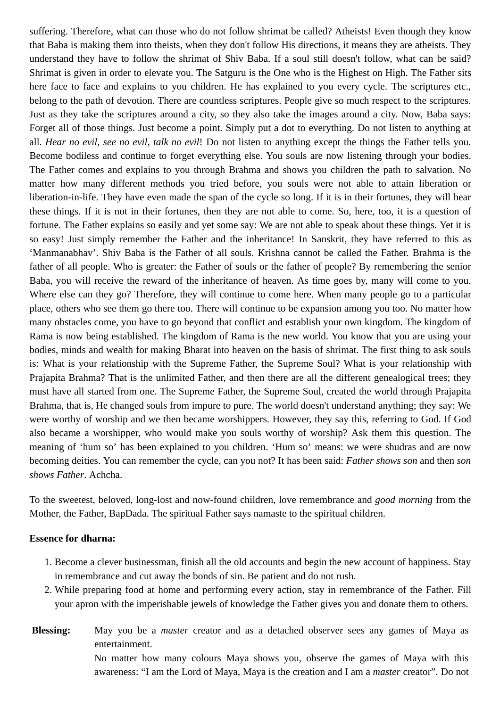suffering. Therefore, what can those who do not follow shrimat be called? Atheists! Even though they know that Baba is making them into theists, when they don't follow His directions, it means they are atheists. They understand they have to follow the shrimat of Shiv Baba. If a soul still doesn't follow, what can be said? Shrimat is given in order to elevate you. The Satguru is the One who is the Highest on High. The Father sits here face to face and explains to you children. He has explained to you every cycle. The scriptures etc., belong to the path of devotion. There are countless scriptures. People give so much respect to the scriptures. Just as they take the scriptures around a city, so they also take the images around a city. Now, Baba says: Forget all of those things. Just become a point. Simply put a dot to everything. Do not listen to anything at all. *Hear no evil, see no evil, talk no evil*! Do not listen to anything except the things the Father tells you. Become bodiless and continue to forget everything else. You souls are now listening through your bodies. The Father comes and explains to you through Brahma and shows you children the path to salvation. No matter how many different methods you tried before, you souls were not able to attain liberation or liberation-in-life. They have even made the span of the cycle so long. If it is in their fortunes, they will hear these things. If it is not in their fortunes, then they are not able to come. So, here, too, it is a question of fortune. The Father explains so easily and yet some say: We are not able to speak about these things. Yet it is so easy! Just simply remember the Father and the inheritance! In Sanskrit, they have referred to this as 'Manmanabhav'. Shiv Baba is the Father of all souls. Krishna cannot be called the Father. Brahma is the father of all people. Who is greater: the Father of souls or the father of people? By remembering the senior Baba, you will receive the reward of the inheritance of heaven. As time goes by, many will come to you. Where else can they go? Therefore, they will continue to come here. When many people go to a particular place, others who see them go there too. There will continue to be expansion among you too. No matter how many obstacles come, you have to go beyond that conflict and establish your own kingdom. The kingdom of Rama is now being established. The kingdom of Rama is the new world. You know that you are using your bodies, minds and wealth for making Bharat into heaven on the basis of shrimat. The first thing to ask souls is: What is your relationship with the Supreme Father, the Supreme Soul? What is your relationship with Prajapita Brahma? That is the unlimited Father, and then there are all the different genealogical trees; they must have all started from one. The Supreme Father, the Supreme Soul, created the world through Prajapita Brahma, that is, He changed souls from impure to pure. The world doesn't understand anything; they say: We were worthy of worship and we then became worshippers. However, they say this, referring to God. If God also became a worshipper, who would make you souls worthy of worship? Ask them this question. The meaning of 'hum so' has been explained to you children. 'Hum so' means: we were shudras and are now becoming deities. You can remember the cycle, can you not? It has been said: *Father shows son* and then *son shows Father*. Achcha.

To the sweetest, beloved, long-lost and now-found children, love remembrance and *good morning* from the Mother, the Father, BapDada. The spiritual Father says namaste to the spiritual children.

## **Essence for dharna:**

- 1. Become a clever businessman, finish all the old accounts and begin the new account of happiness. Stay in remembrance and cut away the bonds of sin. Be patient and do not rush.
- 2. While preparing food at home and performing every action, stay in remembrance of the Father. Fill your apron with the imperishable jewels of knowledge the Father gives you and donate them to others.

**Blessing:** May you be a *master* creator and as a detached observer sees any games of Maya as entertainment. No matter how many colours Maya shows you, observe the games of Maya with this awareness: "I am the Lord of Maya, Maya is the creation and I am a *master* creator". Do not